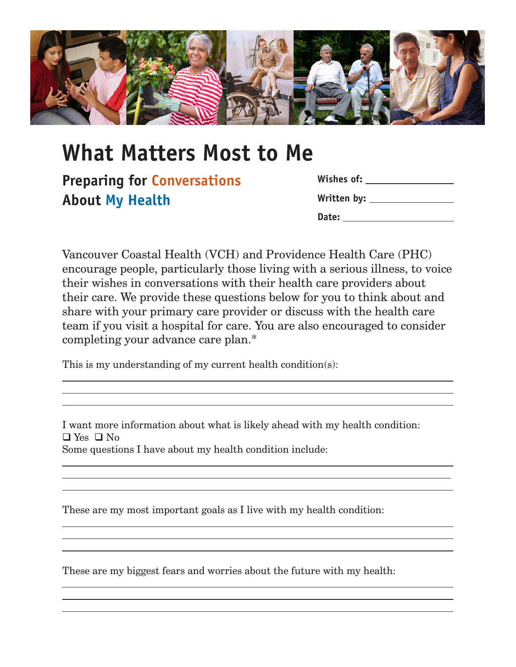

## **What Matters Most to Me**

**Preparing for Conversations About My Health**

 $\overline{a}$ 

 $\overline{a}$ 

| Wishes of:    |  |
|---------------|--|
| Written by: _ |  |
| Date:         |  |

 $\overline{a}$  $\overline{a}$ 

 $\overline{a}$  $\overline{a}$ 

> $\overline{a}$  $\overline{a}$  $\overline{a}$

> $\overline{a}$  $\overline{a}$  $\overline{a}$

Vancouver Coastal Health (VCH) and Providence Health Care (PHC) encourage people, particularly those living with a serious illness, to voice their wishes in conversations with their health care providers about their care. We provide these questions below for you to think about and share with your primary care provider or discuss with the health care team if you visit a hospital for care. You are also encouraged to consider completing your advance care plan.\*

This is my understanding of my current health condition(s):

I want more information about what is likely ahead with my health condition:  $\Box$  Yes  $\Box$  No Some questions I have about my health condition include:

These are my most important goals as I live with my health condition:

These are my biggest fears and worries about the future with my health: